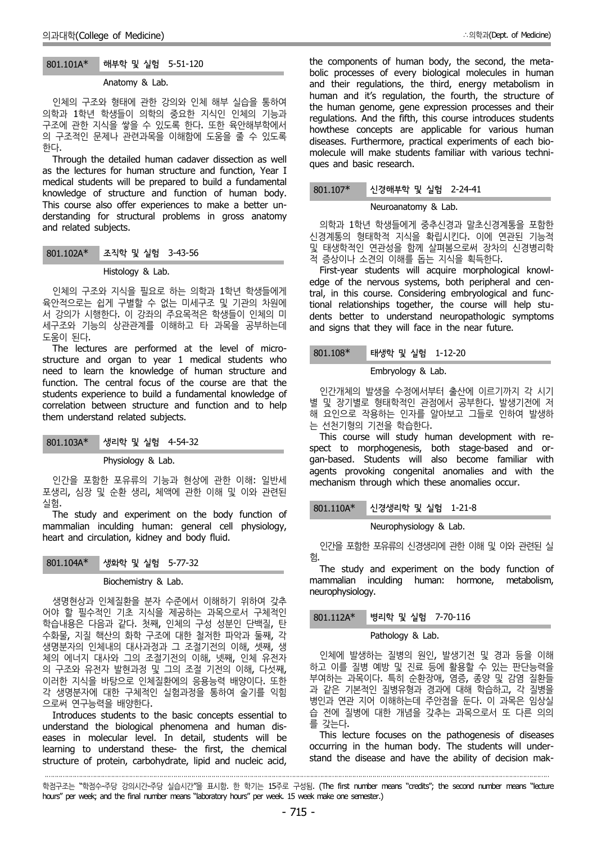## 801.101A\* 해부학 및 실험 5-51-120

#### Anatomy & Lab.

인체의 구조와 형태에 관한 강의와 인체 해부 실습을 통하여 의학과 1학년 학생들이 의학의 중요한 지식인 인체의 기능과 구조에 관한 지식을 쌓을 수 있도록 한다. 또한 육안해부학에서 의 구조적인 문제나 관련과목을 이해함에 도움을 줄 수 있도록 한다.

Through the detailed human cadaver dissection as well as the lectures for human structure and function, Year I medical students will be prepared to build a fundamental knowledge of structure and function of human body. This course also offer experiences to make a better un derstanding for structural problems in gross anatomy and related subjects.

| $801.102A*$ | 조직학 및 실험 3-43-56 |  |
|-------------|------------------|--|
|-------------|------------------|--|

#### Histology & Lab.

인체의 구조와 지식을 필요로 하는 의학과 1학년 학생들에게 육안적으로는 쉽게 구별할 수 없는 미세구조 및 기관의 차원에 서 강의가 시행한다. 이 강좌의 주요목적은 학생들이 인체의 미 세구조와 기능의 상관관계를 이해하고 타 과목을 공부하는데 도움이 된다.

The lectures are performed at the level of micro structure and organ to year 1 medical students who need to learn the knowledge of human structure and function. The central focus of the course are that the students experience to build a fundamental knowledge of correlation between structure and function and to help them understand related subjects.

Physiology & Lab.

인간을 포함한 포유류의 기능과 현상에 관한 이해: 일반세 포생리, 심장 및 순환 생리, 체액에 관한 이해 및 이와 관련된 실험.

The study and experiment on the body function of mammalian inculding human: general cell physiology, heart and circulation, kidney and body fluid.

## 801.104A\* 생화학 및 실험 5-77-32

·

## Biochemistry & Lab.

생명현상과 인체질환을 분자 수준에서 이해하기 위하여 갖추 어야 할 필수적인 기초 지식을 제공하는 과목으로서 구체적인 학습내용은 다음과 같다. 첫째, 인체의 구성 성분인 단백질, 탄 수화물, 지질 핵산의 화학 구조에 대한 철저한 파악과 둘째, 각 생명분자의 인체내의 대사과정과 그 조절기전의 이해, 셋째, 생 체의 에너지 대사와 그의 조절기전의 이해, 넷째, 인체 유전자 의 구조와 유전자 발현과정 및 그의 조절 기전의 이해, 다섯째, 이러한 지식을 바탕으로 인체질환에의 응용능력 배양이다. 또한 각 생명분자에 대한 구체적인 실험과정을 통하여 술기를 익힘 으로써 연구능력을 배양한다.

Introduces students to the basic concepts essential to understand the biological phenomena and human dis eases in molecular level. In detail, students will be learning to understand these- the first, the chemical structure of protein, carbohydrate, lipid and nucleic acid, the components of human body, the second, the meta bolic processes of every biological molecules in human and their regulations, the third, energy metabolism in human and it's regulation, the fourth, the structure of the human genome, gene expression processes and their regulations. And the fifth, this course introduces students howthese concepts are applicable for various human diseases. Furthermore, practical experiments of each bio molecule will make students familiar with various techni ques and basic research.

### 801.107\* 신경해부학 및 실험 2-24-41

## Neuroanatomy & Lab.

의학과 1학년 학생들에게 중추신경과 말초신경계통을 포함한 신경계통의 형태학적 지식을 확립시킨다. 이에 연관된 기능적 및 태생학적인 연관성을 함께 살펴봄으로써 장차의 신경병리학 적 증상이나 소견의 이해를 돕는 지식을 획득한다.

First-year students will acquire morphological knowl edge of the nervous systems, both peripheral and central, in this course. Considering embryological and functional relationships together, the course will help stu dents better to understand neuropathologic symptoms and signs that they will face in the near future.

## 801.108\* 태생학 및 실험 1-12-20

Embryology & Lab.

인간개체의 발생을 수정에서부터 출산에 이르기까지 각 시기 별 및 장기별로 형태학적인 관점에서 공부한다. 발생기전에 저 해 요인으로 작용하는 인자를 알아보고 그들로 인하여 발생하 는 선천기형의 기전을 학습한다.

This course will study human development with re spect to morphogenesis, both stage-based and or gan-based. Students will also become familiar with agents provoking congenital anomalies and with the mechanism through which these anomalies occur.

### 801.110A\* 신경생리학 및 실험 1-21-8

Neurophysiology & Lab.

인간을 포함한 포유류의 신경생리에 관한 이해 및 이와 관련된 실 험.<br>The study and experiment on the body function of

mammalian inculding human: hormone, metabolism, neurophysiology.

## 병리학 및 실험 7-70-116

#### Pathology & Lab.

인체에 발생하는 질병의 원인, 발생기전 및 경과 등을 이해 하고 이를 질병 예방 및 진료 등에 활용할 수 있는 판단능력을 부여하는 과목이다. 특히 순환장애, 염증, 종양 및 감염 질환들 과 같은 기본적인 질병유형과 경과에 대해 학습하고, 각 질병을 병인과 연관 지어 이해하는데 주안점을 둔다. 이 과목은 임상실 습 전에 질병에 대한 개념을 갖추는 과목으로서 또 다른 의의 를 갖는다.

This lecture focuses on the pathogenesis of diseases occurring in the human body. The students will under stand the disease and have the ability of decision mak-

학점구조는 "학점수-주당 강의시간-주당 실습시간"을 표시함. 한 학기는 15주로 구성됨. (The first number means "credits"; the second number means "lecture hours" per week; and the final number means "laboratory hours" per week. 15 week make one semester.)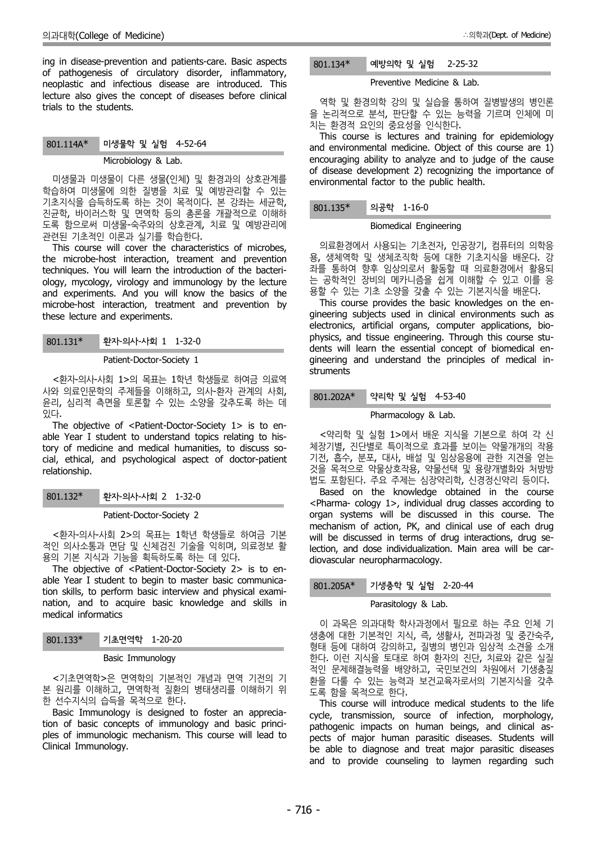ing in disease-prevention and patients-care. Basic aspects of pathogenesis of circulatory disorder, inflammatory, neoplastic and infectious disease are introduced. This lecture also gives the concept of diseases before clinical trials to the students.

# 801.114A\* 미생물학 및 실험 4-52-64 Microbiology & Lab.

미생물과 미생물이 다른 생물(인체) 및 환경과의 상호관계를 학습하여 미생물에 의한 질병을 치료 및 예방관리할 수 있는 기초지식을 습득하도록 하는 것이 목적이다. 본 강좌는 세균학, 진균학, 바이러스학 및 면역학 등의 총론을 개괄적으로 이해하 도록 함으로써 미생물-숙주와의 상호관계, 치료 및 예방관리에 관련된 기초적인 이론과 실기를 학습한다.

This course will cover the characteristics of microbes, the microbe-host interaction, treament and prevention techniques. You will learn the introduction of the bacteri ology, mycology, virology and immunology by the lecture and experiments. And you will know the basics of the microbe-host interaction, treatment and prevention by these lecture and experiments.

801.131\* 환자-의사-사회 1 1-32-0

### Patient-Doctor-Society 1

<환자-의사-사회 1>의 목표는 1학년 학생들로 하여금 의료역 사와 의료인문학의 주제들을 이해하고, 의사-환자 관계의 사회, 윤리, 심리적 측면을 토론할 수 있는 소양을 갖추도록 하는 데 있다.

The objective of <Patient-Doctor-Society 1> is to en able Year I student to understand topics relating to history of medicine and medical humanities, to discuss so cial, ethical, and psychological aspect of doctor-patient relationship.

801.132\* 환자-의사-사회 2 1-32-0

## Patient-Doctor-Society 2

<환자-의사-사회 2>의 목표는 1학년 학생들로 하여금 기본 적인 의사소통과 면담 및 신체검진 기술을 익히며, 의료정보 활 용의 기본 지식과 기능을 획득하도록 하는 데 있다. The objective of <Patient-Doctor-Society 2> is to en-

able Year I student to begin to master basic communicaable real 1 student to begin to master basic communica-<br>tion skills, to perform basic interview and physical examination, and to acquire basic knowledge and skills in medical informatics

| $801.133*$ | 기초면역학 1-20-20 |  |  |
|------------|---------------|--|--|
|------------|---------------|--|--|

## Basic Immunology

<기초면역학>은 면역학의 기본적인 개념과 면역 기전의 기 본 원리를 이해하고, 면역학적 질환의 병태생리를 이해하기 위 한 선수지식의 습득을 목적으로 한다.

Basic Immunology is designed to foster an appreciation of basic concepts of immunology and basic princi ples of immunologic mechanism. This course will lead to Clinical Immunology.

# 801.134\* 예방의학 및 실험 2-25-32

#### Preventive Medicine & Lab.

역학 및 환경의학 강의 및 실습을 통하여 질병발생의 병인론 을 논리적으로 분석, 판단할 수 있는 능력을 기르며 인체에 미<br>치는 환경적 요인의 중요성을 인식한다.

This course is lectures and training for epidemiology and environmental medicine. Object of this course are 1) encouraging ability to analyze and to judge of the cause of disease development 2) recognizing the importance of environmental factor to the public health.

### 의공학 1-16-0

#### Biomedical Engineering

의료환경에서 사용되는 기초전자, 인공장기, 컴퓨터의 의학응 용, 생체역학 및 생체조직학 등에 대한 기초지식을 배운다. 강 좌를 통하여 향후 임상의로서 활동할 때 의료환경에서 활용되 는 공학적인 장비의 메카니즘을 쉽게 이해할 수 있고 이를 응 용할 수 있는 기초 소양을 갖출 수 있는 기본지식을 배운다.

This course provides the basic knowledges on the en gineering subjects used in clinical environments such as electronics, artificial organs, computer applications, bio physics, and tissue engineering. Through this course stu dents will learn the essential concept of biomedical en gineering and understand the principles of medical in struments

## 801.202A\* 약리학 및 실험 4-53-40

#### Pharmacology & Lab.

<약리학 및 실험 1>에서 배운 지식을 기본으로 하여 각 신 체장기별, 진단별로 특이적으로 효과를 보이는 약물개개의 작용 기전, 흡수, 분포, 대사, 배설 및 임상응용에 관한 지견을 얻는 것을 목적으로 약물상호작용, 약물선택 및 용량개별화와 처방방 법도 포함된다. 주요 주제는 심장약리학, 신경정신약리 등이다.

Based on the knowledge obtained in the course <Pharma- cology 1>, individual drug classes according to organ systems will be discussed in this course. The mechanism of action, PK, and clinical use of each drug will be discussed in terms of drug interactions, drug selection, and dose individualization. Main area will be car diovascular neuropharmacology.

### 기생충학 및 실험 2-20-44

### Parasitology & Lab.

이 과목은 의과대학 학사과정에서 필요로 하는 주요 인체 기 생충에 대한 기본적인 지식, 즉, 생활사, 전파과정 및 중간숙주, 형태 등에 대하여 강의하고, 질병의 병인과 임상적 소견을 소개 한다. 이런 지식을 토대로 하여 환자의 진단, 치료와 같은 실질 적인 문제해결능력을 배양하고, 국민보건의 차원에서 기생충질 환을 다룰 수 있는 능력과 보건교육자로서의 기본지식을 갖추 도록 함을 목적으로 한다.

This course will introduce medical students to the life cycle, transmission, source of infection, morphology, pathogenic impacts on human beings, and clinical as pects of major human parasitic diseases. Students will be able to diagnose and treat major parasitic diseases and to provide counseling to laymen regarding such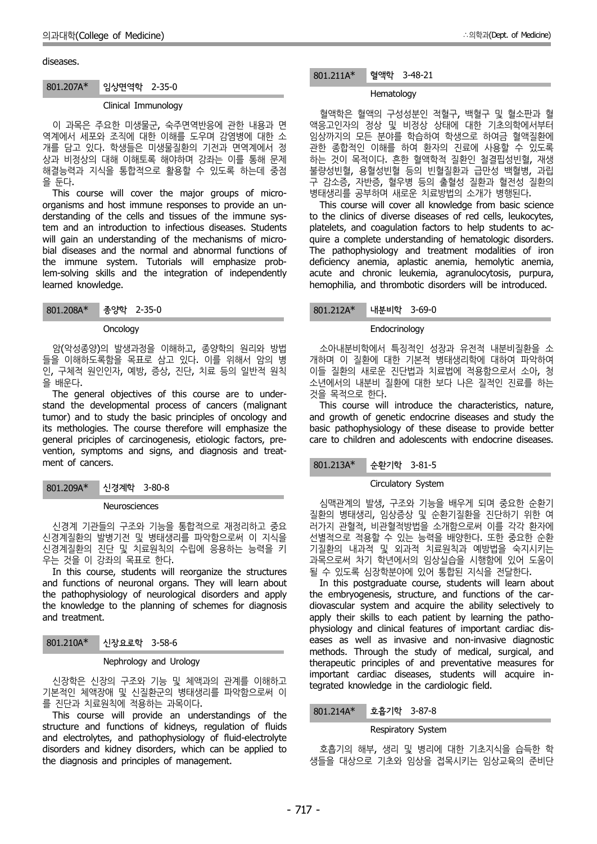#### diseases.

#### 801.207A\* 임상면역학 2-35-0

### Clinical Immunology

이 과목은 주요한 미생물군, 숙주면역반응에 관한 내용과 면 역계에서 세포와 조직에 대한 이해를 도우며 감염병에 대한 소 개를 담고 있다. 학생들은 미생물질환의 기전과 면역계에서 정 상과 비정상의 대해 이해토록 해야하며 강좌는 이를 통해 문제 해결능력과 지식을 통합적으로 활용할 수 있도록 하는데 중점 을 둔다.

This course will cover the major groups of micro organisms and host immune responses to provide an un derstanding of the cells and tissues of the immune system and an introduction to infectious diseases. Students will gain an understanding of the mechanisms of microbial diseases and the normal and abnormal functions of the immune system. Tutorials will emphasize problem-solving skills and the integration of independently learned knowledge.

| 801.208A* |  | 종양학 2-35-0 |  |
|-----------|--|------------|--|
|-----------|--|------------|--|

#### **Oncology**

암(악성종양)의 발생과정을 이해하고, 종양학의 원리와 방법 들을 이해하도록함을 목표로 삼고 있다. 이를 위해서 암의 병 인, 구체적 원인인자, 예방, 증상, 진단, 치료 등의 일반적 원칙 을 배운다.

The general objectives of this course are to under stand the developmental process of cancers (malignant tumor) and to study the basic principles of oncology and its methologies. The course therefore will emphasize the general priciples of carcinogenesis, etiologic factors, pre vention, symptoms and signs, and diagnosis and treat ment of cancers.

801.209A\* 신경계학 3-80-8

#### Neurosciences

신경계 기관들의 구조와 기능을 통합적으로 재정리하고 중요 신경계질환의 발병기전 및 병태생리를 파악함으로써 이 지식을 신경계질환의 진단 및 치료원칙의 수립에 응용하는 능력을 키 우는 것을 이 강좌의 목표로 한다.

In this course, students will reorganize the structures and functions of neuronal organs. They will learn about the pathophysiology of neurological disorders and apply the knowledge to the planning of schemes for diagnosis and treatment.

| $801.210A*$ | 신장요로학 3-58-6 |  |  |
|-------------|--------------|--|--|
|-------------|--------------|--|--|

Nephrology and Urology

신장학은 신장의 구조와 기능 및 체액과의 관계를 이해하고 기본적인 체액장애 및 신질환군의 병태생리를 파악함으로써 이 를 진단과 치료원칙에 적용하는 과목이다.

This course will provide an understandings of the structure and functions of kidneys, regulation of fluids and electrolytes, and pathophysiology of fluid-electrolyte disorders and kidney disorders, which can be applied to the diagnosis and principles of management.

### Hematology

혈액학은 혈액의 구성성분인 적혈구, 백혈구 및 혈소판과 혈 액응고인자의 정상 및 비정상 상태에 대한 기초의학에서부터 임상까지의 모든 분야를 학습하여 학생으로 하여금 혈액질환에 관한 종합적인 이해를 하여 환자의 진료에 사용할 수 있도록 하는 것이 목적이다. 흔한 혈액학적 질환인 철결핍성빈혈, 재생 불량성빈혈, 용혈성빈혈 등의 빈혈질환과 급만성 백혈병, 과립 구 감소증, 자반증, 혈우병 등의 출혈성 질환과 혈전성 질환의 병태생리를 공부하며 새로운 치료방법의 소개가 병행된다.

This course will cover all knowledge from basic science to the clinics of diverse diseases of red cells, leukocytes, platelets, and coagulation factors to help students to ac quire a complete understanding of hematologic disorders. The pathophysiology and treatment modalities of iron deficiency anemia, aplastic anemia, hemolytic anemia, acute and chronic leukemia, agranulocytosis, purpura, hemophilia, and thrombotic disorders will be introduced.

801.212A\* 내분비학 3-69-0

#### Endocrinology

소아내분비학에서 특징적인 성장과 유전적 내분비질환을 소 개하며 이 질환에 대한 기본적 병태생리학에 대하여 파악하여 이들 질환의 새로운 진단법과 치료법에 적용함으로서 소아, 청 소년에서의 내분비 질환에 대한 보다 나은 질적인 진료를 하는 것을 목적으로 한다.

This course will introduce the characteristics, nature, and growth of genetic endocrine diseases and study the basic pathophysiology of these disease to provide better care to children and adolescents with endocrine diseases.

## 801.213A\* 순환기학 3-81-5

#### Circulatory System

심맥관계의 발생, 구조와 기능을 배우게 되며 중요한 순환기 질환의 병태생리, 임상증상 및 순환기질환을 진단하기 위한 여 러가지 관혈적, 비관혈적방법을 소개함으로써 이를 각각 환자에 선별적으로 적용할 수 있는 능력을 배양한다. 또한 중요한 순환 기질환의 내과적 및 외과적 치료원칙과 예방법을 숙지시키는 과목으로써 차기 학년에서의 임상실습을 시행함에 있어 도움이 될 수 있도록 심장학분야에 있어 통합된 지식을 전달한다.

In this postgraduate course, students will learn about the embryogenesis, structure, and functions of the car diovascular system and acquire the ability selectively to apply their skills to each patient by learning the patho physiology and clinical features of important cardiac dis eases as well as invasive and non-invasive diagnostic methods. Through the study of medical, surgical, and therapeutic principles of and preventative measures for important cardiac diseases, students will acquire integrated knowledge in the cardiologic field.

### 801.214A\* 호흡기학 3-87-8

### Respiratory System

호흡기의 해부, 생리 및 병리에 대한 기초지식을 습득한 학 생들을 대상으로 기초와 임상을 접목시키는 임상교육의 준비단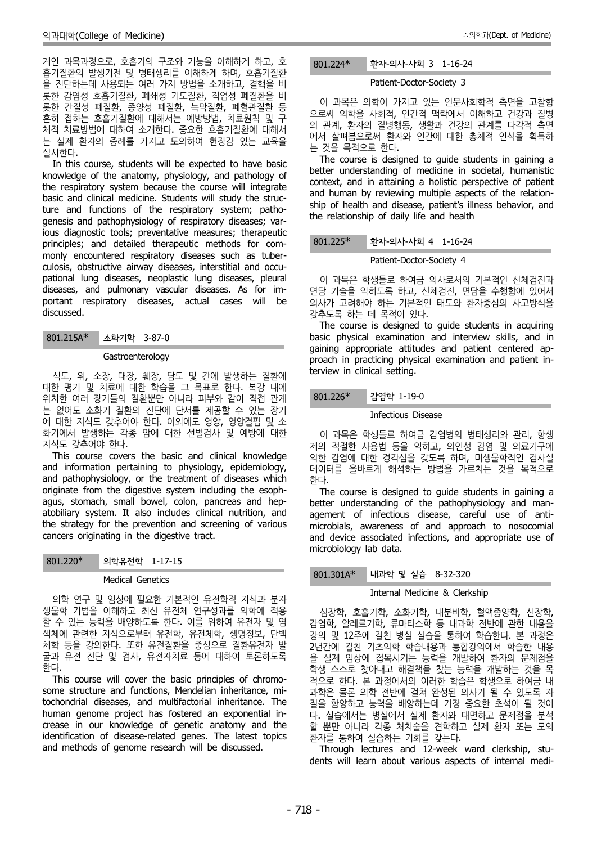계인 과목과정으로, 호흡기의 구조와 기능을 이해하게 하고, 호 801.224\* 흡기질환의 발생기전 및 병태생리를 이해하게 하며, 호흡기질환 을 진단하는데 사용되는 여러 가지 방법을 소개하고, 결핵을 비 롯한 감염성 호흡기질환, 폐쇄성 기도질환, 직업성 폐질환을 비 롯한 간질성 폐질환, 종양성 폐질환, 늑막질환, 폐혈관질환 등 흔히 접하는 호흡기질환에 대해서는 예방방법, 치료원칙 및 구 체적 치료방법에 대하여 소개한다. 중요한 호흡기질환에 대해서 는 실제 환자의 증례를 가지고 토의하여 현장감 있는 교육을 실시한다.

In this course, students will be expected to have basic knowledge of the anatomy, physiology, and pathology of the respiratory system because the course will integrate basic and clinical medicine. Students will study the structure and functions of the respiratory system; patho genesis and pathophysiology of respiratory diseases; various diagnostic tools; preventative measures; therapeutic principles; and detailed therapeutic methods for com monly encountered respiratory diseases such as tuber culosis, obstructive airway diseases, interstitial and occu pational lung diseases, neoplastic lung diseases, pleural diseases, and pulmonary vascular diseases. As for im portant respiratory diseases, actual cases will be discussed.

801.215A\* 소화기학 3-87-0

### **Gastroenterology**

식도, 위, 소장, 대장, 췌장, 담도 및 간에 발생하는 질환에 대한 평가 및 치료에 대한 학습을 그 목표로 한다. 복강 내에 위치한 여러 장기들의 질환뿐만 아니라 피부와 같이 직접 관계 는 없어도 소화기 질환의 진단에 단서를 제공할 수 있는 장기 에 대한 지식도 갖추어야 한다. 이외에도 영양, 영양결핍 및 소 화기에서 발생하는 각종 암에 대한 선별검사 및 예방에 대한 지식도 갖추어야 한다.

This course covers the basic and clinical knowledge and information pertaining to physiology, epidemiology, and pathophysiology, or the treatment of diseases which originate from the digestive system including the esoph agus, stomach, small bowel, colon, pancreas and hep atobiliary system. It also includes clinical nutrition, and the strategy for the prevention and screening of various cancers originating in the digestive tract.

| 의학유전학 1-17-15<br>801.220* |  |
|---------------------------|--|
|---------------------------|--|

## Medical Genetics

의학 연구 및 임상에 필요한 기본적인 유전학적 지식과 분자 생물학 기법을 이해하고 최신 유전체 연구성과를 의학에 적용 할 수 있는 능력을 배양하도록 한다. 이를 위하여 유전자 및 염 색체에 관련한 지식으로부터 유전학, 유전체학, 생명정보, 단백 체학 등을 강의한다. 또한 유전질환을 중심으로 질환유전자 발 굴과 유전 진단 및 검사, 유전자치료 등에 대하여 토론하도록 한다.

This course will cover the basic principles of chromo some structure and functions, Mendelian inheritance, mitochondrial diseases, and multifactorial inheritance. The human genome project has fostered an exponential in crease in our knowledge of genetic anatomy and the identification of disease-related genes. The latest topics and methods of genome research will be discussed.

## 환자-의사-사회 3 1-16-24

#### Patient-Doctor-Society 3

이 과목은 의학이 가지고 있는 인문사회학적 측면을 고찰함 으로써 의학을 사회적, 인간적 맥락에서 이해하고 건강과 질병 의 관계, 환자의 질병행동, 생활과 건강의 관계를 다각적 측면 에서 살펴봄으로써 환자와 인간에 대한 총체적 인식을 획득하

The course is designed to guide students in gaining a better understanding of medicine in societal, humanistic context, and in attaining a holistic perspective of patient and human by reviewing multiple aspects of the relation ship of health and disease, patient's illness behavior, and the relationship of daily life and health

801.225\* 환자-의사-사회 4 1-16-24

Patient-Doctor-Society 4

이 과목은 학생들로 하여금 의사로서의 기본적인 신체검진과 면담 기술을 익히도록 하고, 신체검진, 면담을 수행함에 있어서 의사가 고려해야 하는 기본적인 태도와 환자중심의 사고방식을<br>갖추도록 하는 데 목적이 있다.

The course is designed to guide students in acquiring basic physical examination and interview skills, and in gaining appropriate attitudes and patient centered ap proach in practicing physical examination and patient interview in clinical setting.

## 감염학 1-19-0

### Infectious Disease

이 과목은 학생들로 하여금 감염병의 병태생리와 관리, 항생 제의 적절한 사용법 등을 익히고, 의인성 감염 및 의료기구에 의한 감염에 대한 경각심을 갖도록 하며, 미생물학적인 검사실 데이터를 올바르게 해석하는 방법을 가르치는 것을 목적으로 한다.

The course is designed to guide students in gaining a better understanding of the pathophysiology and man agement of infectious disease, careful use of anti microbials, awareness of and approach to nosocomial and device associated infections, and appropriate use of microbiology lab data.

## 801.301A\* 내과학 및 실습 8-32-320

### Internal Medicine & Clerkship

심장학, 호흡기학, 소화기학, 내분비학, 혈액종양학, 신장학, 감염학, 알레르기학, 류마티스학 등 내과학 전반에 관한 내용을 강의 및 12주에 걸친 병실 실습을 통하여 학습한다. 본 과정은 2년간에 걸친 기초의학 학습내용과 통합강의에서 학습한 내용 을 실제 임상에 접목시키는 능력을 개발하여 환자의 문제점을 학생 스스로 찾아내고 해결책을 찾는 능력을 개발하는 것을 목 적으로 한다. 본 과정에서의 이러한 학습은 학생으로 하여금 내 과학은 물론 의학 전반에 걸쳐 완성된 의사가 될 수 있도록 자 질을 함양하고 능력을 배양하는데 가장 중요한 초석이 될 것이 다. 실습에서는 병실에서 실제 환자와 대면하고 문제점을 분석 할 뿐만 아니라 각종 처치술을 견학하고 실제 환자 또는 모의 환자를 통하여 실습하는 기회를 갖는다.

Through lectures and 12-week ward clerkship, stu dents will learn about various aspects of internal medi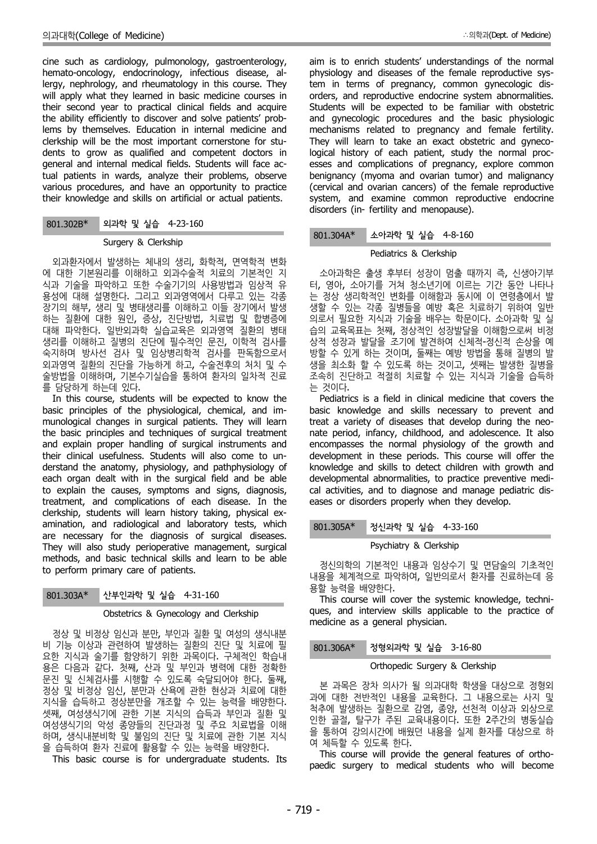cine such as cardiology, pulmonology, gastroenterology, hemato-oncology, endocrinology, infectious disease, allergy, nephrology, and rheumatology in this course. They will apply what they learned in basic medicine courses in their second year to practical clinical fields and acquire the ability efficiently to discover and solve patients' problems by themselves. Education in internal medicine and clerkship will be the most important cornerstone for stu dents to grow as qualified and competent doctors in general and internal medical fields. Students will face actual patients in wards, analyze their problems, observe various procedures, and have an opportunity to practice their knowledge and skills on artificial or actual patients.

## 801.302B\* 외과학 및 실습 4-23-160

#### Surgery & Clerkship

외과환자에서 발생하는 체내의 생리, 화학적, 면역학적 변화 에 대한 기본원리를 이해하고 외과수술적 치료의 기본적인 지 식과 기술을 파악하고 또한 수술기기의 사용방법과 임상적 유 용성에 대해 설명한다. 그리고 외과영역에서 다루고 있는 각종 장기의 해부, 생리 및 병태생리를 이해하고 이들 장기에서 발생 하는 질환에 대한 원인, 증상, 진단방법, 치료법 및 합병증에 대해 파악한다. 일반외과학 실습교육은 외과영역 질환의 병태 생리를 이해하고 질병의 진단에 필수적인 문진, 이학적 검사를 숙지하며 방사선 검사 및 임상병리학적 검사를 판독함으로서 외과영역 질환의 진단을 가능하게 하고, 수술전후의 처치 및 수 술방법을 이해하며, 기본수기실습을 통하여 환자의 일차적 진료 를 담당하게 하는데 있다.

In this course, students will be expected to know the basic principles of the physiological, chemical, and im munological changes in surgical patients. They will learn the basic principles and techniques of surgical treatment and explain proper handling of surgical instruments and their clinical usefulness. Students will also come to un derstand the anatomy, physiology, and pathphysiology of each organ dealt with in the surgical field and be able to explain the causes, symptoms and signs, diagnosis, treatment, and complications of each disease. In the clerkship, students will learn history taking, physical ex amination, and radiological and laboratory tests, which are necessary for the diagnosis of surgical diseases. They will also study perioperative management, surgical methods, and basic technical skills and learn to be able to perform primary care of patients.

## 801.303A\* 산부인과학 및 실습 4-31-160

#### Obstetrics & Gynecology and Clerkship

정상 및 비정상 임신과 분만, 부인과 질환 및 여성의 생식내분 비 기능 이상과 관련하여 발생하는 질환의 진단 및 치료에 필 요한 지식과 술기를 함양하기 위한 과목이다. 구체적인 학습내 용은 다음과 같다. 첫째, 산과 및 부인과 병력에 대한 정확한 문진 및 신체검사를 시행할 수 있도록 숙달되어야 한다. 둘째, 정상 및 비정상 임신, 분만과 산욕에 관한 현상과 치료에 대한 지식을 습득하고 정상분만을 개조할 수 있는 능력을 배양한다. 셋째, 여성생식기에 관한 기본 지식의 습득과 부인과 질환 및 여성생식기의 악성 종양들의 진단과정 및 주요 치료법을 이해 하며, 생식내분비학 및 불임의 진단 및 치료에 관한 기본 지식 을 습득하여 환자 진료에 활용할 수 있는 능력을 배양한다.

This basic course is for undergraduate students. Its

aim is to enrich students' understandings of the normal physiology and diseases of the female reproductive system in terms of pregnancy, common gynecologic dis orders, and reproductive endocrine system abnormalities. Students will be expected to be familiar with obstetric and gynecologic procedures and the basic physiologic mechanisms related to pregnancy and female fertility. They will learn to take an exact obstetric and gynecological history of each patient, study the normal proc esses and complications of pregnancy, explore common benignancy (myoma and ovarian tumor) and malignancy (cervical and ovarian cancers) of the female reproductive system, and examine common reproductive endocrine disorders (in- fertility and menopause).

### 801.304A\* 소아과학 및 실습 4-8-160

## Pediatrics & Clerkship

소아과학은 출생 후부터 성장이 멈출 때까지 즉, 신생아기부 터, 영아, 소아기를 거쳐 청소년기에 이르는 기간 동안 나타나 는 정상 생리학적인 변화를 이해함과 동시에 이 연령층에서 발 생할 수 있는 각종 질병들을 예방 혹은 치료하기 위하여 일반 의로서 필요한 지식과 기술을 배우는 학문이다. 소아과학 및 실 습의 교육목표는 첫째, 정상적인 성장발달을 이해함으로써 비정 상적 성장과 발달을 조기에 발견하여 신체적-정신적 손상을 예 방할 수 있게 하는 것이며, 둘째는 예방 방법을 통해 질병의 발 생을 최소화 할 수 있도록 하는 것이고, 셋째는 발생한 질병을 조속히 진단하고 적절히 치료할 수 있는 지식과 기술을 습득하 는 것이다.

Pediatrics is a field in clinical medicine that covers the basic knowledge and skills necessary to prevent and treat a variety of diseases that develop during the neo nate period, infancy, childhood, and adolescence. It also encompasses the normal physiology of the growth and development in these periods. This course will offer the knowledge and skills to detect children with growth and developmental abnormalities, to practice preventive medi cal activities, and to diagnose and manage pediatric dis eases or disorders properly when they develop.

### 801.305A\* 정신과학 및 실습 4-33-160

### Psychiatry & Clerkship

정신의학의 기본적인 내용과 임상수기 및 면담술의 기초적인 내용을 체계적으로 파악하여, 일반의로서 환자를 진료하는데 응 용할 능력을 배양한다.

This course will cover the systemic knowledge, techni ques, and interview skills applicable to the practice of medicine as a general physician.

## 정형외과학 및 실습 3-16-80

#### Orthopedic Surgery & Clerkship

본 과목은 장차 의사가 될 의과대학 학생을 대상으로 정형외 과에 대한 전반적인 내용을 교육한다. 그 내용으로는 사지 및 척추에 발생하는 질환으로 감염, 종양, 선천적 이상과 외상으로 인한 골절, 탈구가 주된 교육내용이다. 또한 2주간의 병동실습 을 통하여 강의시간에 배웠던 내용을 실제 환자를 대상으로 하 여 체득할 수 있도록 한다.

This course will provide the general features of ortho paedic surgery to medical students who will become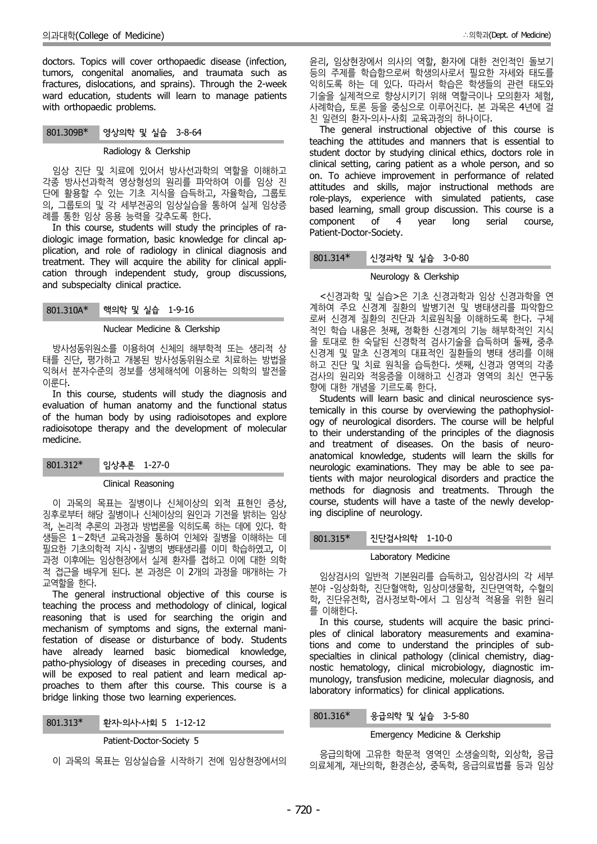doctors. Topics will cover orthopaedic disease (infection, tumors, congenital anomalies, and traumata such as fractures, dislocations, and sprains). Through the 2-week ward education, students will learn to manage patients with orthopaedic problems.

### 801.309B\* 영상의학 및 실습 3-8-64

#### Radiology & Clerkship

임상 진단 및 치료에 있어서 방사선과학의 역할을 이해하고 각종 방사선과학적 영상형성의 원리를 파악하여 이를 임상 진 단에 활용할 수 있는 기초 지식을 습득하고, 자율학습, 그룹토 의, 그룹토의 및 각 세부전공의 임상실습을 통하여 실제 임상증 례를 통한 임상 응용 능력을 갖추도록 한다.

In this course, students will study the principles of ra diologic image formation, basic knowledge for clincal ap plication, and role of radiology in clinical diagnosis and predatory, and fore or radiology in clinical diagnosis and treatment. They will acquire the ability for clinical application through independent study, group discussions, and subspecialty clinical practice.

| 801.310A* | 핵의학 및 실습 1-9-16 |  |
|-----------|-----------------|--|
|-----------|-----------------|--|

## Nuclear Medicine & Clerkship

방사성동위원소를 이용하여 신체의 해부학적 또는 생리적 상 태를 진단, 평가하고 개봉된 방사성동위원소로 치료하는 방법을 익혀서 분자수준의 정보를 생체해석에 이용하는 의학의 발전을 이룬다.

In this course, students will study the diagnosis and evaluation of human anatomy and the functional status of the human body by using radioisotopes and explore radioisotope therapy and the development of molecular medicine.

801.312\* 임상추론 1-27-0

### Clinical Reasoning

이 과목의 목표는 질병이나 신체이상의 외적 표현인 증상, 징후로부터 해당 질병이나 신체이상의 원인과 기전을 밝히는 임상 적, 논리적 추론의 과정과 방법론을 익히도록 하는 데에 있다. 학 생들은 1∼2학년 교육과정을 통하여 인체와 질병을 이해하는 데 필요한 기초의학적 지식⋅질병의 병태생리를 이미 학습하였고, 이 과정 이후에는 임상현장에서 실제 환자를 접하고 이에 대한 의학 적 접근을 배우게 된다. 본 과정은 이 2개의 과정을 매개하는 가 교역할을 한다.

The general instructional objective of this course is teaching the process and methodology of clinical, logical reasoning that is used for searching the origin and mechanism of symptoms and signs, the external manifestation of disease or disturbance of body. Students have already learned basic biomedical knowledge, patho-physiology of diseases in preceding courses, and will be exposed to real patient and learn medical ap proaches to them after this course. This course is a bridge linking those two learning experiences.

| 801.313* | 환자-의사-사회 5 1-12-12 |  |
|----------|--------------------|--|
|----------|--------------------|--|

Patient-Doctor-Society 5

이 과목의 목표는 임상실습을 시작하기 전에 임상현장에서의

윤리, 임상현장에서 의사의 역할, 환자에 대한 전인적인 돌보기 등의 주제를 학습함으로써 학생의사로서 필요한 자세와 태도를 익히도록 하는 데 있다. 따라서 학습은 학생들의 관련 태도와 기술을 실제적으로 향상시키기 위해 역할극이나 모의환자 체험, 사례학습, 토론 등을 중심으로 이루어진다. 본 과목은 4년에 걸 친 일련의 환자-의사-사회 교육과정의 하나이다.

The general instructional objective of this course is teaching the attitudes and manners that is essential to student doctor by studying clinical ethics, doctors role in clinical setting, caring patient as a whole person, and so on. To achieve improvement in performance of related attitudes and skills, major instructional methods are role-plays, experience with simulated patients, case based learning, small group discussion. This course is a component of 4 vear long serial course. component of 4 year long serial course, Patient-Doctor-Society.

## 801.314\* 신경과학 및 실습 3-0-80

### Neurology & Clerkship

<신경과학 및 실습>은 기초 신경과학과 임상 신경과학을 연 계하여 주요 신경계 질환의 발병기전 및 병태생리를 파악함으 로써 신경계 질환의 진단과 치료원칙을 이해하도록 한다. 구체 적인 학습 내용은 첫째, 정확한 신경계의 기능 해부학적인 지식 을 토대로 한 숙달된 신경학적 검사기술을 습득하며 둘째, 중추 신경계 및 말초 신경계의 대표적인 질환들의 병태 생리를 이해 하고 진단 및 치료 원칙을 습득한다. 셋째, 신경과 영역의 각종 검사의 원리와 적응증을 이해하고 신경과 영역의 최신 연구동 향에 대한 개념을 기르도록 한다.

Students will learn basic and clinical neuroscience systemically in this course by overviewing the pathophysiol ogy of neurological disorders. The course will be helpful to their understanding of the principles of the diagnosis and treatment of diseases. On the basis of neuro anatomical knowledge, students will learn the skills for neurologic examinations. They may be able to see patients with major neurological disorders and practice the methods for diagnosis and treatments. Through the course, students will have a taste of the newly developing discipline of neurology.

## 801.315\* 진단검사의학 1-10-0

#### Laboratory Medicine

임상검사의 일반적 기본원리를 습득하고, 임상검사의 각 세부 분야 -임상화학, 진단혈액학, 임상미생물학, 진단면역학, 수혈의 학, 진단유전학, 검사정보학-에서 그 임상적 적용을 위한 원리 를 이해한다.

In this course, students will acquire the basic princi ples of clinical laboratory measurements and examinations and come to understand the principles of sub specialties in clinical pathology (clinical chemistry, diag nostic hematology, clinical microbiology, diagnostic im munology, transfusion medicine, molecular diagnosis, and laboratory informatics) for clinical applications.

#### 801.316\* 응급의학 및 실습 3-5-80

#### Emergency Medicine & Clerkship

응급의학에 고유한 학문적 영역인 소생술의학, 외상학, 응급 의료체계, 재난의학, 환경손상, 중독학, 응급의료법률 등과 임상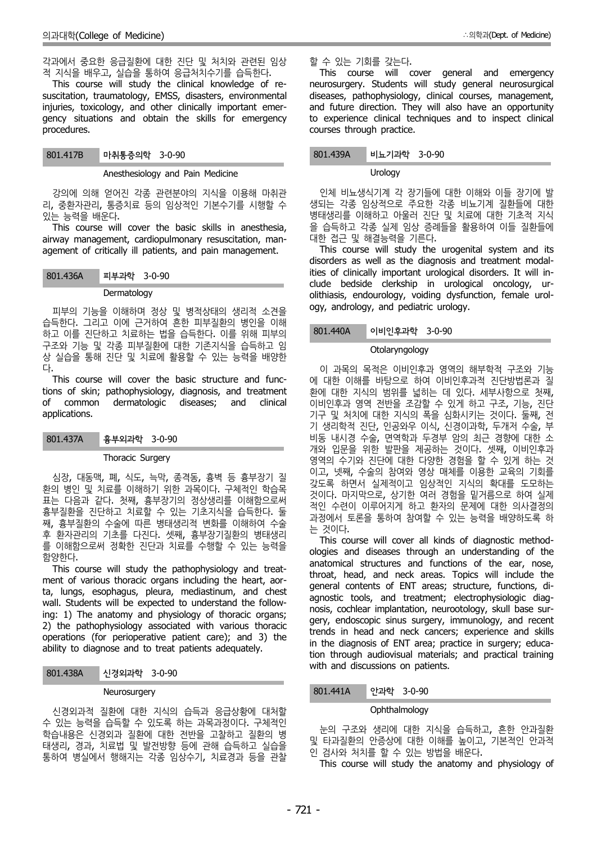각과에서 중요한 응급질환에 대한 진단 및 처치와 관련된 임상 적 지식을 배우고, 실습을 통하여 응급처치수기를 습득한다.

This course will study the clinical knowledge of re suscitation, traumatology, EMSS, disasters, environmental injuries, toxicology, and other clinically important emer gency situations and obtain the skills for emergency procedures.

#### Anesthesiology and Pain Medicine

강의에 의해 얻어진 각종 관련분야의 지식을 이용해 마취관 리, 중환자관리, 통증치료 등의 임상적인 기본수기를 시행할 수 있는 능력을 배운다.

This course will cover the basic skills in anesthesia, airway management, cardiopulmonary resuscitation, man agement of critically ill patients, and pain management.

801.436A 피부과학 3-0-90

#### Dermatology

피부의 기능을 이해하며 정상 및 병적상태의 생리적 소견을 습득한다. 그리고 이에 근거하여 흔한 피부질환의 병인을 이해<br>하고 이를 진단한고 친근한는 번을 수득한다. 이를 인해 피부인 하고 이를 진단하고 치료하는 법을 습득한다. 이를 위해 피부의 구조와 기능 및 각종 피부질환에 대한 기존지식을 습득하고 임 상 실습을 통해 진단 및 치료에 활용할 수 있는 능력을 배양한

다.<br>This course will cover the basic structure and functions of skin; pathophysiology, diagnosis, and treatment of common dermatologic diseases; and clinical applications.

| 801.437A | 흉부외과학 3-0-90 |  |  |
|----------|--------------|--|--|
|----------|--------------|--|--|

#### Thoracic Surgery

심장, 대동맥, 폐, 식도, 늑막, 종격동, 흉벽 등 흉부장기 질 환의 병인 및 치료를 이해하기 위한 과목이다. 구체적인 학습목 표는 다음과 같다. 첫째, 흉부장기의 정상생리를 이해함으로써 흉부질환을 진단하고 치료할 수 있는 기초지식을 습득한다. 둘 째, 흉부질환의 수술에 따른 병태생리적 변화를 이해하여 수술 후 환자관리의 기초를 다진다. 셋째, 흉부장기질환의 병태생리 를 이해함으로써 정확한 진단과 치료를 수행할 수 있는 능력을 함양한다.

This course will study the pathophysiology and treat ment of various thoracic organs including the heart, aorta, lungs, esophagus, pleura, mediastinum, and chest wall. Students will be expected to understand the following: 1) The anatomy and physiology of thoracic organs; 2) the pathophysiology associated with various thoracic operations (for perioperative patient care); and 3) the ability to diagnose and to treat patients adequately.

## 801.438A 신경외과학 3-0-90

#### **Neurosurgery**

신경외과적 질환에 대한 지식의 습득과 응급상황에 대처할 수 있는 능력을 습득할 수 있도록 하는 과목과정이다. 구체적인 학습내용은 신경외과 질환에 대한 전반을 고찰하고 질환의 병 태생리, 경과, 치료법 및 발전방향 등에 관해 습득하고 실습을 통하여 병실에서 행해지는 각종 임상수기, 치료경과 등을 관찰

## 할 수 있는 기회를 갖는다.

This course will cover general and emergency neurosurgery. Students will study general neurosurgical diseases, pathophysiology, clinical courses, management, and future direction. They will also have an opportunity to experience clinical techniques and to inspect clinical courses through practice.

### 801.439A 비뇨기과학 3-0-90

#### **Urology**

인체 비뇨생식기계 각 장기들에 대한 이해와 이들 장기에 발 생되는 각종 임상적으로 주요한 각종 비뇨기계 질환들에 대한 병태생리를 이해하고 아울러 진단 및 치료에 대한 기초적 지식 을 습득하고 각종 실제 임상 증례들을 활용하여 이들 질환들에 대한 접근 및 해결능력을 기른다.

This course will study the urogenital system and its disorders as well as the diagnosis and treatment modalities of clinically important urological disorders. It will in clude bedside clerkship in urological oncology, ur olithiasis, endourology, voiding dysfunction, female urol ogy, andrology, and pediatric urology.

### 이비인후과학 3-0-90

#### Otolaryngology

이 과목의 목적은 이비인후과 영역의 해부학적 구조와 기능 에 대한 이해를 바탕으로 하여 이비인후과적 진단방법론과 질 환에 대한 지식의 범위를 넓히는 데 있다. 세부사항으로 첫째, 이비인후과 영역 전반을 조감할 수 있게 하고 구조, 기능, 진단 기구 및 처치에 대한 지식의 폭을 심화시키는 것이다. 둘째, 전 기 생리학적 진단, 인공와우 이식, 신경이과학, 두개저 수술, 부 비동 내시경 수술, 면역학과 두경부 암의 최근 경향에 대한 소 개와 입문을 위한 발판을 제공하는 것이다. 셋째, 이비인후과 영역의 수기와 진단에 대한 다양한 경험을 할 수 있게 하는 것 이고, 넷째, 수술의 참여와 영상 매체를 이용한 교육의 기회를 갖도록 하면서 실제적이고 임상적인 지식의 확대를 도모하는 것이다. 마지막으로, 상기한 여러 경험을 밑거름으로 하여 실제 적인 수련이 이루어지게 하고 환자의 문제에 대한 의사결정의 과정에서 토론을 통하여 참여할 수 있는 능력을 배양하도록 하 는 것이다.

This course will cover all kinds of diagnostic method ologies and diseases through an understanding of the anatomical structures and functions of the ear, nose, throat, head, and neck areas. Topics will include the general contents of ENT areas; structure, functions, di agnostic tools, and treatment; electrophysiologic diag nosis, cochlear implantation, neurootology, skull base sur gery, endoscopic sinus surgery, immunology, and recent trends in head and neck cancers; experience and skills in the diagnosis of ENT area; practice in surgery; education through audiovisual materials; and practical training with and discussions on patients.

### 801.441A 안과학 3-0-90

#### **Ophthalmology**

눈의 구조와 생리에 대한 지식을 습득하고, 흔한 안과질환 및 타과질환의 안증상에 대한 이해를 높이고, 기본적인 안과적 인 검사와 처치를 할 수 있는 방법을 배운다.

This course will study the anatomy and physiology of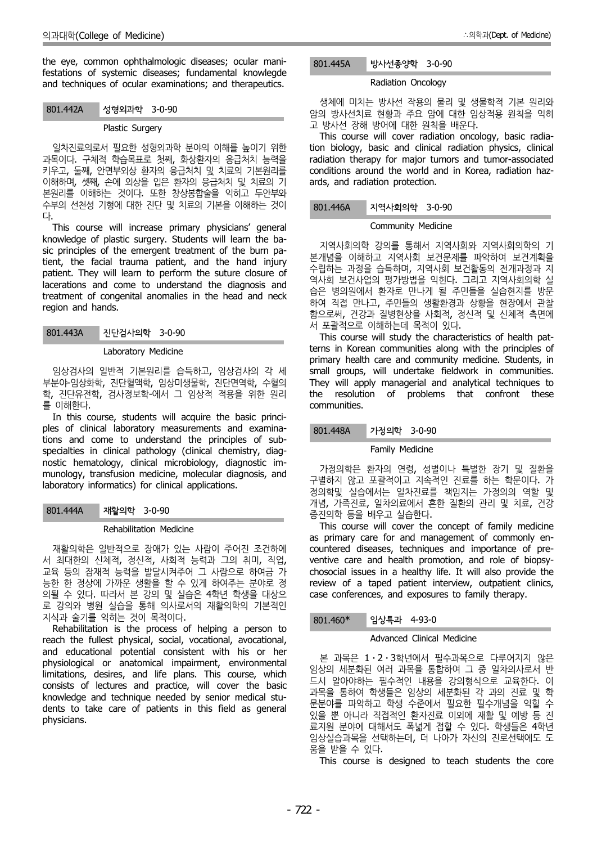the eye, common ophthalmologic diseases; ocular manifestations of systemic diseases; fundamental knowlegde and techniques of ocular examinations; and therapeutics.

### 801.442A 성형외과학 3-0-90

## Plastic Surgery

일차진료의로서 필요한 성형외과학 분야의 이해를 높이기 위한 과목이다. 구체적 학습목표로 첫째, 화상환자의 응급처치 능력을 키우고, 둘째, 안면부외상 환자의 응급처치 및 치료의 기본원리를 이해하며, 셋째, 손에 외상을 입은 환자의 응급처치 및 치료의 기 본원리를 이해하는 것이다. 또한 창상봉합술을 익히고 두안부와 수부의 선천성 기형에 대한 진단 및 치료의 기본을 이해하는 것이

다.<br>This course will increase primary physicians' general knowledge of plastic surgery. Students will learn the ba sic principles of the emergent treatment of the burn patient, the facial trauma patient, and the hand injury patient. They will learn to perform the suture closure of lacerations and come to understand the diagnosis and treatment of congenital anomalies in the head and neck region and hands.

801.443A 진단검사의학 3-0-90

#### Laboratory Medicine

임상검사의 일반적 기본원리를 습득하고, 임상검사의 각 세 부분야-임상화학, 진단혈액학, 임상미생물학, 진단면역학, 수혈의 학, 진단유전학, 검사정보학-에서 그 임상적 적용을 위한 원리 를 이해한다.

In this course, students will acquire the basic princi ples of clinical laboratory measurements and examinations and come to understand the principles of sub specialties in clinical pathology (clinical chemistry, diag nostic hematology, clinical microbiology, diagnostic im munology, transfusion medicine, molecular diagnosis, and laboratory informatics) for clinical applications.

### 801.444A 재활의학 3-0-90

### Rehabilitation Medicine

재활의학은 일반적으로 장애가 있는 사람이 주어진 조건하에 서 최대한의 신체적, 정신적, 사회적 능력과 그의 취미, 직업, 교육 등의 잠재적 능력을 발달시켜주어 그 사람으로 하여금 가 능한 한 정상에 가까운 생활을 할 수 있게 하여주는 분야로 정 의될 수 있다. 따라서 본 강의 및 실습은 4학년 학생을 대상으 로 강의와 병원 실습을 통해 의사로서의 재활의학의 기본적인 지식과 술기를 익히는 것이 목적이다.

Rehabilitation is the process of helping a person to reach the fullest physical, social, vocational, avocational, and educational potential consistent with his or her physiological or anatomical impairment, environmental limitations, desires, and life plans. This course, which consists of lectures and practice, will cover the basic knowledge and technique needed by senior medical stu dents to take care of patients in this field as general physicians.

## 801.445A 방사선종양학 3-0-90

#### Radiation Oncology

생체에 미치는 방사선 작용의 물리 및 생물학적 기본 원리와 암의 방사선치료 현황과 주요 암에 대한 임상적용 원칙을 익히 고 방사선 장해 방어에 대한 원칙을 배운다.

This course will cover radiation oncology, basic radiation biology, basic and clinical radiation physics, clinical radiation therapy for major tumors and tumor-associated conditions around the world and in Korea, radiation haz ards, and radiation protection.

## 801.446A 지역사회의학 3-0-90

#### Community Medicine

지역사회의학 강의를 통해서 지역사회와 지역사회의학의 기 본개념을 이해하고 지역사회 보건문제를 파악하여 보건계획을 수립하는 과정을 습득하며, 지역사회 보건활동의 전개과정과 지 역사회 보건사업의 평가방법을 익힌다. 그리고 지역사회의학 실 습은 병의원에서 환자로 만나게 될 주민들을 실습현지를 방문 하여 직접 만나고, 주민들의 생활환경과 상황을 현장에서 관찰 함으로써, 건강과 질병현상을 사회적, 정신적 및 신체적 측면에 서 포괄적으로 이해하는데 목적이 있다.

This course will study the characteristics of health patterns in Korean communities along with the principles of primary health care and community medicine. Students, in small groups, will undertake fieldwork in communities. They will apply managerial and analytical techniques to the resolution of problems that confront these communities.

### 801.448A 가정의학 3-0-90

### Family Medicine

가정의학은 환자의 연령, 성별이나 특별한 장기 및 질환을 구별하지 않고 포괄적이고 지속적인 진료를 하는 학문이다. 가 정의학및 실습에서는 일차진료를 책임지는 가정의의 역할 및 개념, 가족진료, 일차의료에서 흔한 질환의 관리 및 치료, 건강 증진의학 등을 배우고 실습한다.

This course will cover the concept of family medicine as primary care for and management of commonly en countered diseases, techniques and importance of pre ventive care and health promotion, and role of biopsy chosocial issues in a healthy life. It will also provide the review of a taped patient interview, outpatient clinics, case conferences, and exposures to family therapy.

## 801.460\* 임상특과 4-93-0

### Advanced Clinical Medicine

본 과목은 1⋅2⋅3학년에서 필수과목으로 다루어지지 않은 임상의 세분화된 여러 과목을 통합하여 그 중 일차의사로서 반 드시 알아야하는 필수적인 내용을 강의형식으로 교육한다. 이 과목을 통하여 학생들은 임상의 세분화된 각 과의 진료 및 학 문분야를 파악하고 학생 수준에서 필요한 필수개념을 익힐 수 있을 뿐 아니라 직접적인 환자진료 이외에 재활 및 예방 등 진 료지원 분야에 대해서도 폭넓게 접할 수 있다. 학생들은 4학년 임상실습과목을 선택하는데, 더 나아가 자신의 진로선택에도 도 움을 받을 수 있다. This course is designed to teach students the core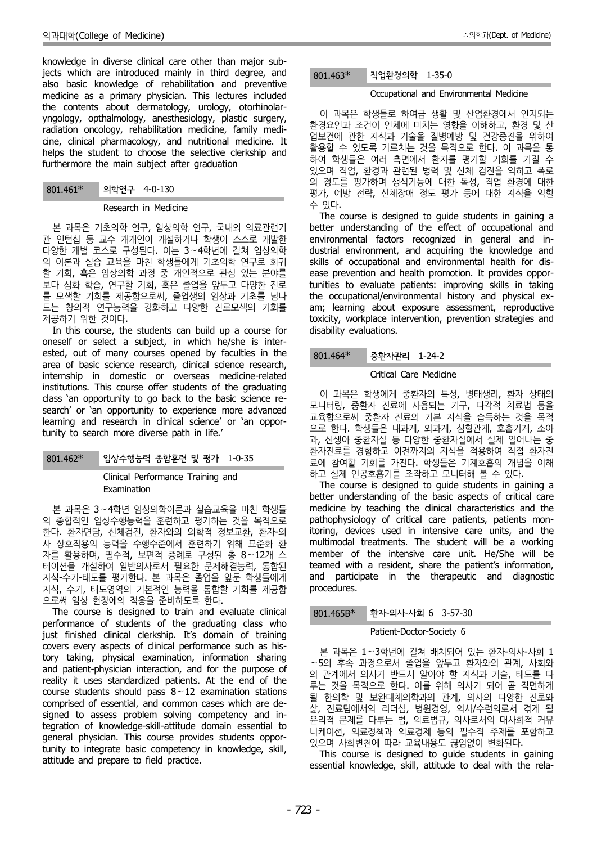knowledge in diverse clinical care other than major subjects which are introduced mainly in third degree, and also basic knowledge of rehabilitation and preventive medicine as a primary physician. This lectures included the contents about dermatology, urology, otorhinolar yngology, opthalmology, anesthesiology, plastic surgery, radiation oncology, rehabilitation medicine, family medi cine, clinical pharmacology, and nutritional medicine. It helps the student to choose the selective clerkship and furthermore the main subject after graduation

## 801.461\* 의학연구 4-0-130

#### Research in Medicine

본 과목은 기초의학 연구, 임상의학 연구, 국내외 의료관련기 관 인턴십 등 교수 개개인이 개설하거나 학생이 스스로 개발한 다양한 개별 코스로 구성된다. 이는 3∼4학년에 걸쳐 임상의학 의 이론과 실습 교육을 마친 학생들에게 기초의학 연구로 회귀 할 기회, 혹은 임상의학 과정 중 개인적으로 관심 있는 분야를 보다 심화 학습, 연구할 기회, 혹은 졸업을 앞두고 다양한 진로 를 모색할 기회를 제공함으로써, 졸업생의 임상과 기초를 넘나 드는 창의적 연구능력을 강화하고 다양한 진로모색의 기회를

제공하기 위한 것이다. In this course, the students can build up a course for oneself or select a subject, in which he/she is inter ested, out of many courses opened by faculties in the  $801.464*$ area of basic science research, clinical science research, internship in domestic or overseas medicine-related institutions. This course offer students of the graduating class 'an opportunity to go back to the basic science re search' or 'an opportunity to experience more advanced learning and research in clinical science' or 'an opportunity to search more diverse path in life.'

### 801.462\* 임상수행능력 종합훈련 및 평가 1-0-35

## Clinical Performance Training and Examination

본 과목은 3∼4학년 임상의학이론과 실습교육을 마친 학생들 의 종합적인 임상수행능력을 훈련하고 평가하는 것을 목적으로 한다. 환자면담, 신체검진, 환자와의 의학적 정보교환, 환자-의 사 상호작용의 능력을 수행수준에서 훈련하기 위해 표준화 환 자를 활용하며, 필수적, 보편적 증례로 구성된 총 8∼12개 스 테이션을 개설하여 일반의사로서 필요한 문제해결능력, 통합된 지식-수기-태도를 평가한다. 본 과목은 졸업을 앞둔 학생들에게 지식, 수기, 태도영역의 기본적인 능력을 통합할 기회를 제공함

The course is designed to train and evaluate clinical performance of students of the graduating class who just finished clinical clerkship. It's domain of training covers every aspects of clinical performance such as history taking, physical examination, information sharing and patient-physician interaction, and for the purpose of reality it uses standardized patients. At the end of the course students should pass 8∼12 examination stations comprised of essential, and common cases which are de signed to assess problem solving competency and integration of knowledge-skill-attitude domain essential to general physician. This course provides students opportunity to integrate basic competency in knowledge, skill, attitude and prepare to field practice.

#### 801.463\* 직업환경의학 1-35-0

## Occupational and Environmental Medicine

이 과목은 학생들로 하여금 생활 및 산업환경에서 인지되는 환경요인과 조건이 인체에 미치는 영향을 이해하고, 환경 및 산 업보건에 관한 지식과 기술을 질병예방 및 건강증진을 위하여 활용할 수 있도록 가르치는 것을 목적으로 한다. 이 과목을 통 하여 학생들은 여러 측면에서 환자를 평가할 기회를 가질 수 있으며 직업, 환경과 관련된 병력 및 신체 검진을 익히고 폭로 의 정도를 평가하며 생식기능에 대한 독성, 직업 환경에 대한 평가, 예방 전략, 신체장애 정도 평가 등에 대한 지식을 익힐 수 있다.

The course is designed to guide students in gaining a better understanding of the effect of occupational and environmental factors recognized in general and in dustrial environment, and acquiring the knowledge and skills of occupational and environmental health for dis ease prevention and health promotion. It provides opportunities to evaluate patients: improving skills in taking the occupational/environmental history and physical ex am; learning about exposure assessment, reproductive toxicity, workplace intervention, prevention strategies and disability evaluations.

## 중환자관리 1-24-2

### Critical Care Medicine

이 과목은 학생에게 중환자의 특성, 병태생리, 환자 상태의 모니터링, 중환자 진료에 사용되는 기구, 다각적 치료법 등을 교육함으로써 중환자 진료의 기본 지식을 습득하는 것을 목적 으로 한다. 학생들은 내과계, 외과계, 심혈관계, 호흡기계, 소아 과, 신생아 중환자실 등 다양한 중환자실에서 실제 일어나는 중 환자진료를 경험하고 이전까지의 지식을 적용하여 직접 환자진 료에 참여할 기회를 가진다. 학생들은 기계호흡의 개념을 이해 하고 실제 인공호흡기를 조작하고 모니터해 볼 수 있다.

The course is designed to guide students in gaining a better understanding of the basic aspects of critical care medicine by teaching the clinical characteristics and the pathophysiology of critical care patients, patients monitoring, devices used in intensive care units, and the multimodal treatments. The student will be a working member of the intensive care unit. He/She will be teamed with a resident, share the patient's information, and participate in the therapeutic and diagnostic procedures.

### 801.465B\* 환자-의사-사회 6 3-57-30

### Patient-Doctor-Society 6

본 과목은 1∼3학년에 걸쳐 배치되어 있는 환자-의사-사회 1 ∼5의 후속 과정으로서 졸업을 앞두고 환자와의 관계, 사회와 의 관계에서 의사가 반드시 알아야 할 지식과 기술, 태도를 다 루는 것을 목적으로 한다. 이를 위해 의사가 되어 곧 직면하게 될 한의학 및 보완대체의학과의 관계, 의사의 다양한 진로와 삶, 진료팀에서의 리더십, 병원경영, 의사/수련의로서 겪게 될 윤리적 문제를 다루는 법, 의료법규, 의사로서의 대사회적 커뮤 니케이션, 의료정책과 의료경제 등의 필수적 주제를 포함하고

This course is designed to guide students in gaining essential knowledge, skill, attitude to deal with the rela